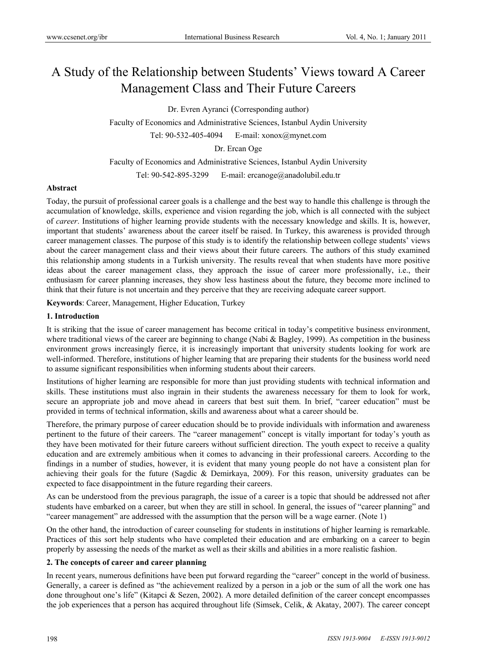# A Study of the Relationship between Students' Views toward A Career Management Class and Their Future Careers

Dr. Evren Ayranci (Corresponding author)

Faculty of Economics and Administrative Sciences, Istanbul Aydin University

Tel: 90-532-405-4094 E-mail: xonox@mynet.com

Dr. Ercan Oge

Faculty of Economics and Administrative Sciences, Istanbul Aydin University

Tel: 90-542-895-3299 E-mail: ercanoge@anadolubil.edu.tr

# **Abstract**

Today, the pursuit of professional career goals is a challenge and the best way to handle this challenge is through the accumulation of knowledge, skills, experience and vision regarding the job, which is all connected with the subject of *career*. Institutions of higher learning provide students with the necessary knowledge and skills. It is, however, important that students' awareness about the career itself be raised. In Turkey, this awareness is provided through career management classes. The purpose of this study is to identify the relationship between college students' views about the career management class and their views about their future careers. The authors of this study examined this relationship among students in a Turkish university. The results reveal that when students have more positive ideas about the career management class, they approach the issue of career more professionally, i.e., their enthusiasm for career planning increases, they show less hastiness about the future, they become more inclined to think that their future is not uncertain and they perceive that they are receiving adequate career support.

**Keywords**: Career, Management, Higher Education, Turkey

### **1. Introduction**

It is striking that the issue of career management has become critical in today's competitive business environment, where traditional views of the career are beginning to change (Nabi & Bagley, 1999). As competition in the business environment grows increasingly fierce, it is increasingly important that university students looking for work are well-informed. Therefore, institutions of higher learning that are preparing their students for the business world need to assume significant responsibilities when informing students about their careers.

Institutions of higher learning are responsible for more than just providing students with technical information and skills. These institutions must also ingrain in their students the awareness necessary for them to look for work, secure an appropriate job and move ahead in careers that best suit them. In brief, "career education" must be provided in terms of technical information, skills and awareness about what a career should be.

Therefore, the primary purpose of career education should be to provide individuals with information and awareness pertinent to the future of their careers. The "career management" concept is vitally important for today's youth as they have been motivated for their future careers without sufficient direction. The youth expect to receive a quality education and are extremely ambitious when it comes to advancing in their professional careers. According to the findings in a number of studies, however, it is evident that many young people do not have a consistent plan for achieving their goals for the future (Sagdic & Demirkaya, 2009). For this reason, university graduates can be expected to face disappointment in the future regarding their careers.

As can be understood from the previous paragraph, the issue of a career is a topic that should be addressed not after students have embarked on a career, but when they are still in school. In general, the issues of "career planning" and "career management" are addressed with the assumption that the person will be a wage earner. (Note 1)

On the other hand, the introduction of career counseling for students in institutions of higher learning is remarkable. Practices of this sort help students who have completed their education and are embarking on a career to begin properly by assessing the needs of the market as well as their skills and abilities in a more realistic fashion.

# **2. The concepts of career and career planning**

In recent years, numerous definitions have been put forward regarding the "career" concept in the world of business. Generally, a career is defined as "the achievement realized by a person in a job or the sum of all the work one has done throughout one's life" (Kitapci & Sezen, 2002). A more detailed definition of the career concept encompasses the job experiences that a person has acquired throughout life (Simsek, Celik, & Akatay, 2007). The career concept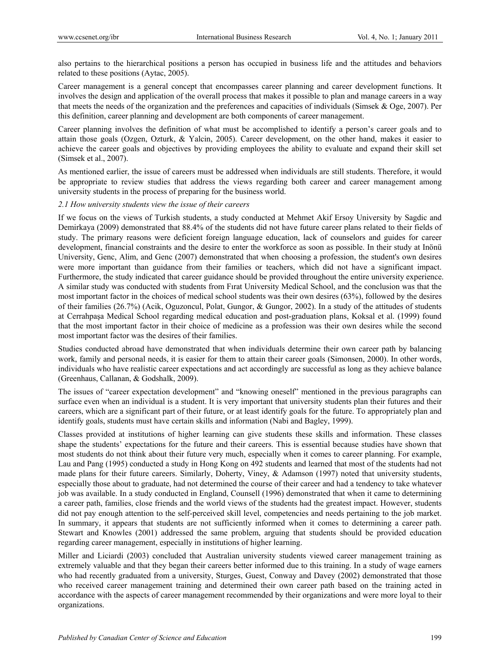also pertains to the hierarchical positions a person has occupied in business life and the attitudes and behaviors related to these positions (Aytac, 2005).

Career management is a general concept that encompasses career planning and career development functions. It involves the design and application of the overall process that makes it possible to plan and manage careers in a way that meets the needs of the organization and the preferences and capacities of individuals (Simsek & Oge, 2007). Per this definition, career planning and development are both components of career management.

Career planning involves the definition of what must be accomplished to identify a person's career goals and to attain those goals (Ozgen, Ozturk, & Yalcin, 2005). Career development, on the other hand, makes it easier to achieve the career goals and objectives by providing employees the ability to evaluate and expand their skill set (Simsek et al., 2007).

As mentioned earlier, the issue of careers must be addressed when individuals are still students. Therefore, it would be appropriate to review studies that address the views regarding both career and career management among university students in the process of preparing for the business world.

# *2.1 How university students view the issue of their careers*

If we focus on the views of Turkish students, a study conducted at Mehmet Akif Ersoy University by Sagdic and Demirkaya (2009) demonstrated that 88.4% of the students did not have future career plans related to their fields of study. The primary reasons were deficient foreign language education, lack of counselors and guides for career development, financial constraints and the desire to enter the workforce as soon as possible. In their study at Inönü University, Genc, Alim, and Genc (2007) demonstrated that when choosing a profession, the student's own desires were more important than guidance from their families or teachers, which did not have a significant impact. Furthermore, the study indicated that career guidance should be provided throughout the entire university experience. A similar study was conducted with students from Fırat University Medical School, and the conclusion was that the most important factor in the choices of medical school students was their own desires (63%), followed by the desires of their families (26.7%) (Acik, Oguzoncul, Polat, Gungor, & Gungor, 2002). In a study of the attitudes of students at Cerrahpaşa Medical School regarding medical education and post-graduation plans, Koksal et al. (1999) found that the most important factor in their choice of medicine as a profession was their own desires while the second most important factor was the desires of their families.

Studies conducted abroad have demonstrated that when individuals determine their own career path by balancing work, family and personal needs, it is easier for them to attain their career goals (Simonsen, 2000). In other words, individuals who have realistic career expectations and act accordingly are successful as long as they achieve balance (Greenhaus, Callanan, & Godshalk, 2009).

The issues of "career expectation development" and "knowing oneself" mentioned in the previous paragraphs can surface even when an individual is a student. It is very important that university students plan their futures and their careers, which are a significant part of their future, or at least identify goals for the future. To appropriately plan and identify goals, students must have certain skills and information (Nabi and Bagley, 1999).

Classes provided at institutions of higher learning can give students these skills and information. These classes shape the students' expectations for the future and their careers. This is essential because studies have shown that most students do not think about their future very much, especially when it comes to career planning. For example, Lau and Pang (1995) conducted a study in Hong Kong on 492 students and learned that most of the students had not made plans for their future careers. Similarly, Doherty, Viney, & Adamson (1997) noted that university students, especially those about to graduate, had not determined the course of their career and had a tendency to take whatever job was available. In a study conducted in England, Counsell (1996) demonstrated that when it came to determining a career path, families, close friends and the world views of the students had the greatest impact. However, students did not pay enough attention to the self-perceived skill level, competencies and needs pertaining to the job market. In summary, it appears that students are not sufficiently informed when it comes to determining a career path. Stewart and Knowles (2001) addressed the same problem, arguing that students should be provided education regarding career management, especially in institutions of higher learning.

Miller and Liciardi (2003) concluded that Australian university students viewed career management training as extremely valuable and that they began their careers better informed due to this training. In a study of wage earners who had recently graduated from a university, Sturges, Guest, Conway and Davey (2002) demonstrated that those who received career management training and determined their own career path based on the training acted in accordance with the aspects of career management recommended by their organizations and were more loyal to their organizations.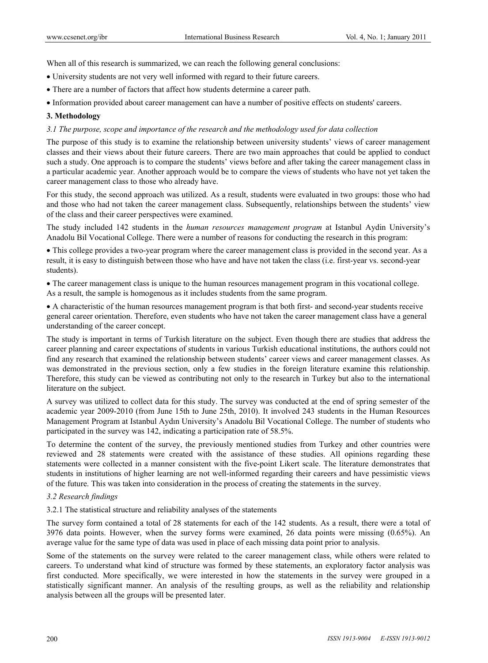When all of this research is summarized, we can reach the following general conclusions:

- University students are not very well informed with regard to their future careers.
- There are a number of factors that affect how students determine a career path.
- Information provided about career management can have a number of positive effects on students' careers.

# **3. Methodology**

# *3.1 The purpose, scope and importance of the research and the methodology used for data collection*

The purpose of this study is to examine the relationship between university students' views of career management classes and their views about their future careers. There are two main approaches that could be applied to conduct such a study. One approach is to compare the students' views before and after taking the career management class in a particular academic year. Another approach would be to compare the views of students who have not yet taken the career management class to those who already have.

For this study, the second approach was utilized. As a result, students were evaluated in two groups: those who had and those who had not taken the career management class. Subsequently, relationships between the students' view of the class and their career perspectives were examined.

The study included 142 students in the *human resources management program* at Istanbul Aydin University's Anadolu Bil Vocational College. There were a number of reasons for conducting the research in this program:

 This college provides a two-year program where the career management class is provided in the second year. As a result, it is easy to distinguish between those who have and have not taken the class (i.e. first-year vs. second-year students).

 The career management class is unique to the human resources management program in this vocational college. As a result, the sample is homogenous as it includes students from the same program.

 A characteristic of the human resources management program is that both first- and second-year students receive general career orientation. Therefore, even students who have not taken the career management class have a general understanding of the career concept.

The study is important in terms of Turkish literature on the subject. Even though there are studies that address the career planning and career expectations of students in various Turkish educational institutions, the authors could not find any research that examined the relationship between students' career views and career management classes. As was demonstrated in the previous section, only a few studies in the foreign literature examine this relationship. Therefore, this study can be viewed as contributing not only to the research in Turkey but also to the international literature on the subject.

A survey was utilized to collect data for this study. The survey was conducted at the end of spring semester of the academic year 2009-2010 (from June 15th to June 25th, 2010). It involved 243 students in the Human Resources Management Program at Istanbul Aydın University's Anadolu Bil Vocational College. The number of students who participated in the survey was 142, indicating a participation rate of 58.5%.

To determine the content of the survey, the previously mentioned studies from Turkey and other countries were reviewed and 28 statements were created with the assistance of these studies. All opinions regarding these statements were collected in a manner consistent with the five-point Likert scale. The literature demonstrates that students in institutions of higher learning are not well-informed regarding their careers and have pessimistic views of the future. This was taken into consideration in the process of creating the statements in the survey.

## *3.2 Research findings*

3.2.1 The statistical structure and reliability analyses of the statements

The survey form contained a total of 28 statements for each of the 142 students. As a result, there were a total of 3976 data points. However, when the survey forms were examined, 26 data points were missing (0.65%). An average value for the same type of data was used in place of each missing data point prior to analysis.

Some of the statements on the survey were related to the career management class, while others were related to careers. To understand what kind of structure was formed by these statements, an exploratory factor analysis was first conducted. More specifically, we were interested in how the statements in the survey were grouped in a statistically significant manner. An analysis of the resulting groups, as well as the reliability and relationship analysis between all the groups will be presented later.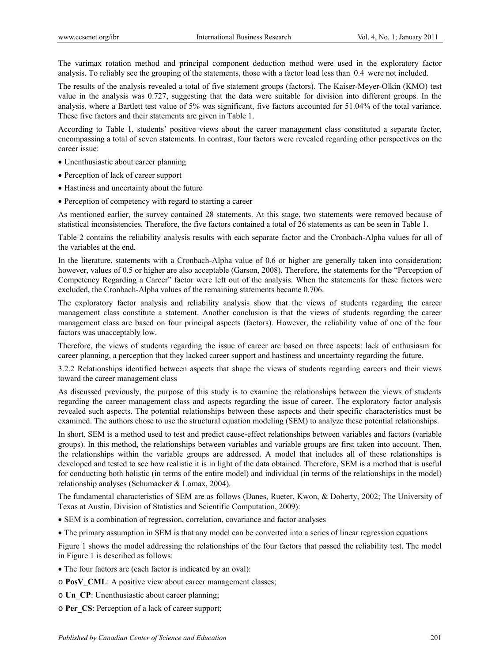The varimax rotation method and principal component deduction method were used in the exploratory factor analysis. To reliably see the grouping of the statements, those with a factor load less than |0.4| were not included.

The results of the analysis revealed a total of five statement groups (factors). The Kaiser-Meyer-Olkin (KMO) test value in the analysis was 0.727, suggesting that the data were suitable for division into different groups. In the analysis, where a Bartlett test value of 5% was significant, five factors accounted for 51.04% of the total variance. These five factors and their statements are given in Table 1.

According to Table 1, students' positive views about the career management class constituted a separate factor, encompassing a total of seven statements. In contrast, four factors were revealed regarding other perspectives on the career issue:

- Unenthusiastic about career planning
- Perception of lack of career support
- Hastiness and uncertainty about the future
- Perception of competency with regard to starting a career

As mentioned earlier, the survey contained 28 statements. At this stage, two statements were removed because of statistical inconsistencies. Therefore, the five factors contained a total of 26 statements as can be seen in Table 1.

Table 2 contains the reliability analysis results with each separate factor and the Cronbach-Alpha values for all of the variables at the end.

In the literature, statements with a Cronbach-Alpha value of 0.6 or higher are generally taken into consideration; however, values of 0.5 or higher are also acceptable (Garson, 2008). Therefore, the statements for the "Perception of Competency Regarding a Career" factor were left out of the analysis. When the statements for these factors were excluded, the Cronbach-Alpha values of the remaining statements became 0.706.

The exploratory factor analysis and reliability analysis show that the views of students regarding the career management class constitute a statement. Another conclusion is that the views of students regarding the career management class are based on four principal aspects (factors). However, the reliability value of one of the four factors was unacceptably low.

Therefore, the views of students regarding the issue of career are based on three aspects: lack of enthusiasm for career planning, a perception that they lacked career support and hastiness and uncertainty regarding the future.

3.2.2 Relationships identified between aspects that shape the views of students regarding careers and their views toward the career management class

As discussed previously, the purpose of this study is to examine the relationships between the views of students regarding the career management class and aspects regarding the issue of career. The exploratory factor analysis revealed such aspects. The potential relationships between these aspects and their specific characteristics must be examined. The authors chose to use the structural equation modeling (SEM) to analyze these potential relationships.

In short, SEM is a method used to test and predict cause-effect relationships between variables and factors (variable groups). In this method, the relationships between variables and variable groups are first taken into account. Then, the relationships within the variable groups are addressed. A model that includes all of these relationships is developed and tested to see how realistic it is in light of the data obtained. Therefore, SEM is a method that is useful for conducting both holistic (in terms of the entire model) and individual (in terms of the relationships in the model) relationship analyses (Schumacker & Lomax, 2004).

The fundamental characteristics of SEM are as follows (Danes, Rueter, Kwon, & Doherty, 2002; The University of Texas at Austin, Division of Statistics and Scientific Computation, 2009):

- SEM is a combination of regression, correlation, covariance and factor analyses
- The primary assumption in SEM is that any model can be converted into a series of linear regression equations

Figure 1 shows the model addressing the relationships of the four factors that passed the reliability test. The model in Figure 1 is described as follows:

- The four factors are (each factor is indicated by an oval):
- o **PosV\_CML**: A positive view about career management classes;
- o **Un\_CP**: Unenthusiastic about career planning;
- o **Per\_CS**: Perception of a lack of career support;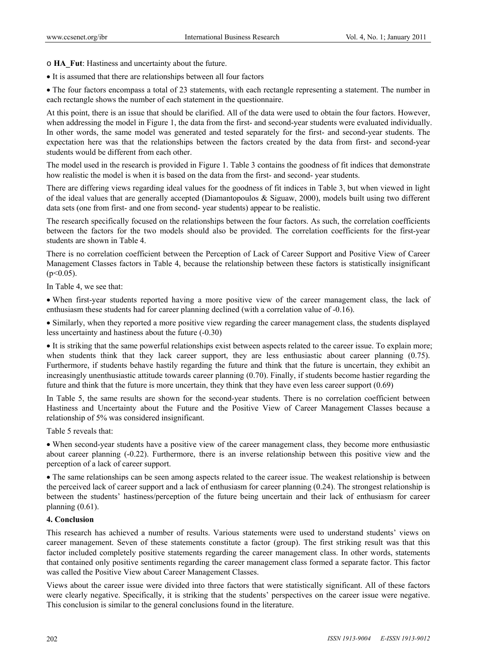o **HA\_Fut**: Hastiness and uncertainty about the future.

It is assumed that there are relationships between all four factors

• The four factors encompass a total of 23 statements, with each rectangle representing a statement. The number in each rectangle shows the number of each statement in the questionnaire.

At this point, there is an issue that should be clarified. All of the data were used to obtain the four factors. However, when addressing the model in Figure 1, the data from the first- and second-year students were evaluated individually. In other words, the same model was generated and tested separately for the first- and second-year students. The expectation here was that the relationships between the factors created by the data from first- and second-year students would be different from each other.

The model used in the research is provided in Figure 1. Table 3 contains the goodness of fit indices that demonstrate how realistic the model is when it is based on the data from the first- and second- year students.

There are differing views regarding ideal values for the goodness of fit indices in Table 3, but when viewed in light of the ideal values that are generally accepted (Diamantopoulos & Siguaw, 2000), models built using two different data sets (one from first- and one from second- year students) appear to be realistic.

The research specifically focused on the relationships between the four factors. As such, the correlation coefficients between the factors for the two models should also be provided. The correlation coefficients for the first-year students are shown in Table 4.

There is no correlation coefficient between the Perception of Lack of Career Support and Positive View of Career Management Classes factors in Table 4, because the relationship between these factors is statistically insignificant  $(p<0.05)$ .

In Table 4, we see that:

 When first-year students reported having a more positive view of the career management class, the lack of enthusiasm these students had for career planning declined (with a correlation value of -0.16).

 Similarly, when they reported a more positive view regarding the career management class, the students displayed less uncertainty and hastiness about the future (-0.30)

 It is striking that the same powerful relationships exist between aspects related to the career issue. To explain more; when students think that they lack career support, they are less enthusiastic about career planning (0.75). Furthermore, if students behave hastily regarding the future and think that the future is uncertain, they exhibit an increasingly unenthusiastic attitude towards career planning (0.70). Finally, if students become hastier regarding the future and think that the future is more uncertain, they think that they have even less career support (0.69)

In Table 5, the same results are shown for the second-year students. There is no correlation coefficient between Hastiness and Uncertainty about the Future and the Positive View of Career Management Classes because a relationship of 5% was considered insignificant.

Table 5 reveals that:

 When second-year students have a positive view of the career management class, they become more enthusiastic about career planning (-0.22). Furthermore, there is an inverse relationship between this positive view and the perception of a lack of career support.

• The same relationships can be seen among aspects related to the career issue. The weakest relationship is between the perceived lack of career support and a lack of enthusiasm for career planning (0.24). The strongest relationship is between the students' hastiness/perception of the future being uncertain and their lack of enthusiasm for career planning (0.61).

#### **4. Conclusion**

This research has achieved a number of results. Various statements were used to understand students' views on career management. Seven of these statements constitute a factor (group). The first striking result was that this factor included completely positive statements regarding the career management class. In other words, statements that contained only positive sentiments regarding the career management class formed a separate factor. This factor was called the Positive View about Career Management Classes.

Views about the career issue were divided into three factors that were statistically significant. All of these factors were clearly negative. Specifically, it is striking that the students' perspectives on the career issue were negative. This conclusion is similar to the general conclusions found in the literature.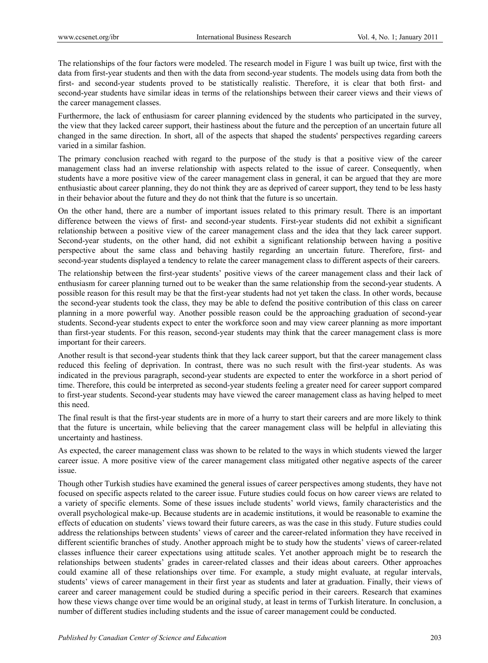The relationships of the four factors were modeled. The research model in Figure 1 was built up twice, first with the data from first-year students and then with the data from second-year students. The models using data from both the first- and second-year students proved to be statistically realistic. Therefore, it is clear that both first- and second-year students have similar ideas in terms of the relationships between their career views and their views of the career management classes.

Furthermore, the lack of enthusiasm for career planning evidenced by the students who participated in the survey, the view that they lacked career support, their hastiness about the future and the perception of an uncertain future all changed in the same direction. In short, all of the aspects that shaped the students' perspectives regarding careers varied in a similar fashion.

The primary conclusion reached with regard to the purpose of the study is that a positive view of the career management class had an inverse relationship with aspects related to the issue of career. Consequently, when students have a more positive view of the career management class in general, it can be argued that they are more enthusiastic about career planning, they do not think they are as deprived of career support, they tend to be less hasty in their behavior about the future and they do not think that the future is so uncertain.

On the other hand, there are a number of important issues related to this primary result. There is an important difference between the views of first- and second-year students. First-year students did not exhibit a significant relationship between a positive view of the career management class and the idea that they lack career support. Second-year students, on the other hand, did not exhibit a significant relationship between having a positive perspective about the same class and behaving hastily regarding an uncertain future. Therefore, first- and second-year students displayed a tendency to relate the career management class to different aspects of their careers.

The relationship between the first-year students' positive views of the career management class and their lack of enthusiasm for career planning turned out to be weaker than the same relationship from the second-year students. A possible reason for this result may be that the first-year students had not yet taken the class. In other words, because the second-year students took the class, they may be able to defend the positive contribution of this class on career planning in a more powerful way. Another possible reason could be the approaching graduation of second-year students. Second-year students expect to enter the workforce soon and may view career planning as more important than first-year students. For this reason, second-year students may think that the career management class is more important for their careers.

Another result is that second-year students think that they lack career support, but that the career management class reduced this feeling of deprivation. In contrast, there was no such result with the first-year students. As was indicated in the previous paragraph, second-year students are expected to enter the workforce in a short period of time. Therefore, this could be interpreted as second-year students feeling a greater need for career support compared to first-year students. Second-year students may have viewed the career management class as having helped to meet this need.

The final result is that the first-year students are in more of a hurry to start their careers and are more likely to think that the future is uncertain, while believing that the career management class will be helpful in alleviating this uncertainty and hastiness.

As expected, the career management class was shown to be related to the ways in which students viewed the larger career issue. A more positive view of the career management class mitigated other negative aspects of the career issue.

Though other Turkish studies have examined the general issues of career perspectives among students, they have not focused on specific aspects related to the career issue. Future studies could focus on how career views are related to a variety of specific elements. Some of these issues include students' world views, family characteristics and the overall psychological make-up. Because students are in academic institutions, it would be reasonable to examine the effects of education on students' views toward their future careers, as was the case in this study. Future studies could address the relationships between students' views of career and the career-related information they have received in different scientific branches of study. Another approach might be to study how the students' views of career-related classes influence their career expectations using attitude scales. Yet another approach might be to research the relationships between students' grades in career-related classes and their ideas about careers. Other approaches could examine all of these relationships over time. For example, a study might evaluate, at regular intervals, students' views of career management in their first year as students and later at graduation. Finally, their views of career and career management could be studied during a specific period in their careers. Research that examines how these views change over time would be an original study, at least in terms of Turkish literature. In conclusion, a number of different studies including students and the issue of career management could be conducted.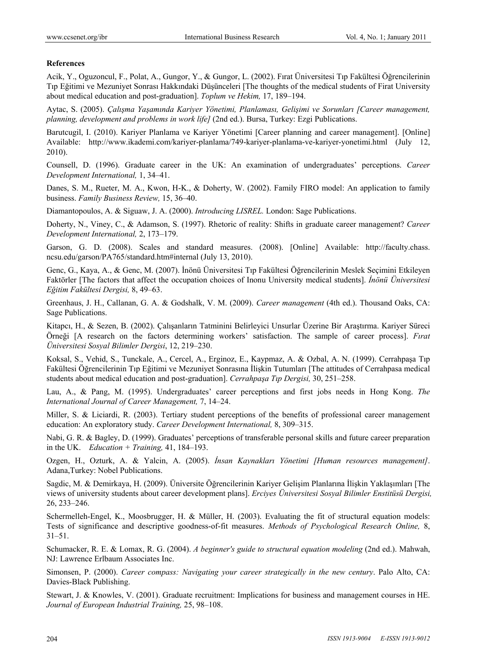## **References**

Acik, Y., Oguzoncul, F., Polat, A., Gungor, Y., & Gungor, L. (2002). Fırat Üniversitesi Tıp Fakültesi Öğrencilerinin Tıp Eğitimi ve Mezuniyet Sonrası Hakkındaki Düşünceleri [The thoughts of the medical students of Firat University about medical education and post-graduation]. *Toplum ve Hekim,* 17, 189–194.

Aytac, S. (2005). *Çalışma Yaşamında Kariyer Yönetimi, Planlaması, Gelişimi ve Sorunları [Career management, planning, development and problems in work life]* (2nd ed.). Bursa, Turkey: Ezgi Publications.

Barutcugil, I. (2010). Kariyer Planlama ve Kariyer Yönetimi [Career planning and career management]. [Online] Available: http://www.ikademi.com/kariyer-planlama/749-kariyer-planlama-ve-kariyer-yonetimi.html (July 12, 2010).

Counsell, D. (1996). Graduate career in the UK: An examination of undergraduates' perceptions. *Career Development International,* 1, 34–41.

Danes, S. M., Rueter, M. A., Kwon, H-K., & Doherty, W. (2002). Family FIRO model: An application to family business. *Family Business Review,* 15, 36–40.

Diamantopoulos, A. & Siguaw, J. A. (2000). *Introducing LISREL.* London: Sage Publications.

Doherty, N., Viney, C., & Adamson, S. (1997). Rhetoric of reality: Shifts in graduate career management? *Career Development International,* 2, 173–179.

Garson, G. D. (2008). Scales and standard measures. (2008). [Online] Available: http://faculty.chass. ncsu.edu/garson/PA765/standard.htm#internal (July 13, 2010).

Genc, G., Kaya, A., & Genc, M. (2007). İnönü Üniversitesi Tıp Fakültesi Öğrencilerinin Meslek Seçimini Etkileyen Faktörler [The factors that affect the occupation choices of Inonu University medical students]. *İnönü Üniversitesi Eğitim Fakültesi Dergisi,* 8, 49–63.

Greenhaus, J. H., Callanan, G. A. & Godshalk, V. M. (2009). *Career management* (4th ed.). Thousand Oaks, CA: Sage Publications.

Kitapcı, H., & Sezen, B. (2002). Çalışanların Tatminini Belirleyici Unsurlar Üzerine Bir Araştırma. Kariyer Süreci Örneği [A research on the factors determining workers' satisfaction. The sample of career process]. *Fırat Üniversitesi Sosyal Bilimler Dergisi*, 12, 219–230.

Koksal, S., Vehid, S., Tunckale, A., Cercel, A., Erginoz, E., Kaypmaz, A. & Ozbal, A. N. (1999). Cerrahpaşa Tıp Fakültesi Öğrencilerinin Tıp Eğitimi ve Mezuniyet Sonrasına İlişkin Tutumları [The attitudes of Cerrahpasa medical students about medical education and post-graduation]. *Cerrahpaşa Tıp Dergisi,* 30, 251–258.

Lau, A., & Pang, M. (1995). Undergraduates' career perceptions and first jobs needs in Hong Kong. *The International Journal of Career Management,* 7, 14–24.

Miller, S. & Liciardi, R. (2003). Tertiary student perceptions of the benefits of professional career management education: An exploratory study. *Career Development International,* 8, 309–315.

Nabi, G. R. & Bagley, D. (1999). Graduates' perceptions of transferable personal skills and future career preparation in the UK. *Education + Training,* 41, 184–193.

Ozgen, H., Ozturk, A. & Yalcin, A. (2005). *İnsan Kaynakları Yönetimi [Human resources management]*. Adana,Turkey: Nobel Publications.

Sagdic, M. & Demirkaya, H. (2009). Üniversite Öğrencilerinin Kariyer Gelişim Planlarına İlişkin Yaklaşımları [The views of university students about career development plans]. *Erciyes Üniversitesi Sosyal Bilimler Enstitüsü Dergisi,*  26, 233–246.

Schermelleh-Engel, K., Moosbrugger, H. & Müller, H. (2003). Evaluating the fit of structural equation models: Tests of significance and descriptive goodness-of-fit measures. *Methods of Psychological Research Online,* 8, 31–51.

Schumacker, R. E. & Lomax, R. G. (2004). *A beginner's guide to structural equation modeling* (2nd ed.). Mahwah, NJ: Lawrence Erlbaum Associates Inc.

Simonsen, P. (2000). *Career compass: Navigating your career strategically in the new century*. Palo Alto, CA: Davies-Black Publishing.

Stewart, J. & Knowles, V. (2001). Graduate recruitment: Implications for business and management courses in HE. *Journal of European Industrial Training,* 25, 98–108.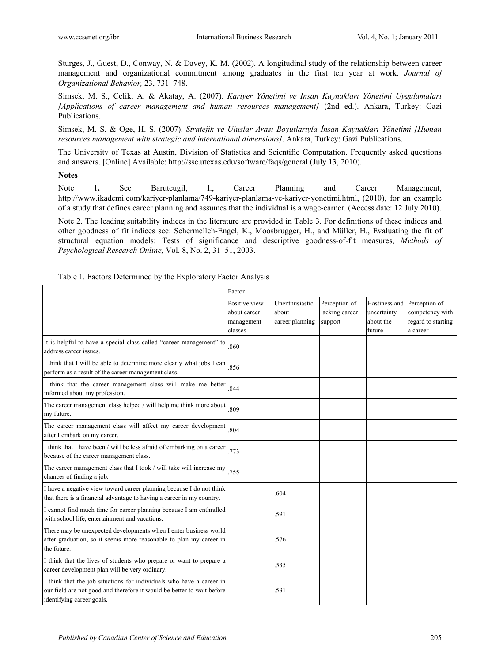Sturges, J., Guest, D., Conway, N. & Davey, K. M. (2002). A longitudinal study of the relationship between career management and organizational commitment among graduates in the first ten year at work. *Journal of Organizational Behavior,* 23, 731–748.

Simsek, M. S., Celik, A. & Akatay, A. (2007). *Kariyer Yönetimi ve İnsan Kaynakları Yönetimi Uygulamaları [Applications of career management and human resources management]* (2nd ed.). Ankara, Turkey: Gazi Publications.

Simsek, M. S. & Oge, H. S. (2007). *Stratejik ve Uluslar Arası Boyutlarıyla İnsan Kaynakları Yönetimi [Human resources management with strategic and international dimensions]*. Ankara, Turkey: Gazi Publications.

The University of Texas at Austin, Division of Statistics and Scientific Computation. Frequently asked questions and answers. [Online] Available: http://ssc.utexas.edu/software/faqs/general (July 13, 2010).

# **Notes**

Note 1**.** See Barutcugil, I., Career Planning and Career Management, http://www.ikademi.com/kariyer-planlama/749-kariyer-planlama-ve-kariyer-yonetimi.html, (2010), for an example of a study that defines career planning and assumes that the individual is a wage-earner. (Access date: 12 July 2010).

Note 2. The leading suitability indices in the literature are provided in Table 3. For definitions of these indices and other goodness of fit indices see: Schermelleh-Engel, K., Moosbrugger, H., and Müller, H., Evaluating the fit of structural equation models: Tests of significance and descriptive goodness-of-fit measures, *Methods of Psychological Research Online,* Vol. 8, No. 2, 31–51, 2003.

|                                                                                                                                                                             | Factor                                                 |                                            |                                            |                                                     |                                                                    |
|-----------------------------------------------------------------------------------------------------------------------------------------------------------------------------|--------------------------------------------------------|--------------------------------------------|--------------------------------------------|-----------------------------------------------------|--------------------------------------------------------------------|
|                                                                                                                                                                             | Positive view<br>about career<br>management<br>classes | Unenthusiastic<br>about<br>career planning | Perception of<br>lacking career<br>support | Hastiness and<br>uncertainty<br>about the<br>future | Perception of<br>competency with<br>regard to starting<br>a career |
| It is helpful to have a special class called "career management" to<br>address career issues.                                                                               | .860                                                   |                                            |                                            |                                                     |                                                                    |
| I think that I will be able to determine more clearly what jobs I can<br>perform as a result of the career management class.                                                | .856                                                   |                                            |                                            |                                                     |                                                                    |
| I think that the career management class will make me better<br>informed about my profession.                                                                               | .844                                                   |                                            |                                            |                                                     |                                                                    |
| The career management class helped / will help me think more about<br>my future.                                                                                            | 809                                                    |                                            |                                            |                                                     |                                                                    |
| The career management class will affect my career development<br>after I embark on my career.                                                                               | .804                                                   |                                            |                                            |                                                     |                                                                    |
| I think that I have been / will be less afraid of embarking on a career<br>because of the career management class.                                                          | .773                                                   |                                            |                                            |                                                     |                                                                    |
| The career management class that I took / will take will increase my<br>chances of finding a job.                                                                           | .755                                                   |                                            |                                            |                                                     |                                                                    |
| I have a negative view toward career planning because I do not think<br>that there is a financial advantage to having a career in my country.                               |                                                        | .604                                       |                                            |                                                     |                                                                    |
| I cannot find much time for career planning because I am enthralled<br>with school life, entertainment and vacations.                                                       |                                                        | .591                                       |                                            |                                                     |                                                                    |
| There may be unexpected developments when I enter business world<br>after graduation, so it seems more reasonable to plan my career in<br>the future.                       |                                                        | .576                                       |                                            |                                                     |                                                                    |
| I think that the lives of students who prepare or want to prepare a<br>career development plan will be very ordinary.                                                       |                                                        | .535                                       |                                            |                                                     |                                                                    |
| I think that the job situations for individuals who have a career in<br>our field are not good and therefore it would be better to wait before<br>identifying career goals. |                                                        | .531                                       |                                            |                                                     |                                                                    |

Table 1. Factors Determined by the Exploratory Factor Analysis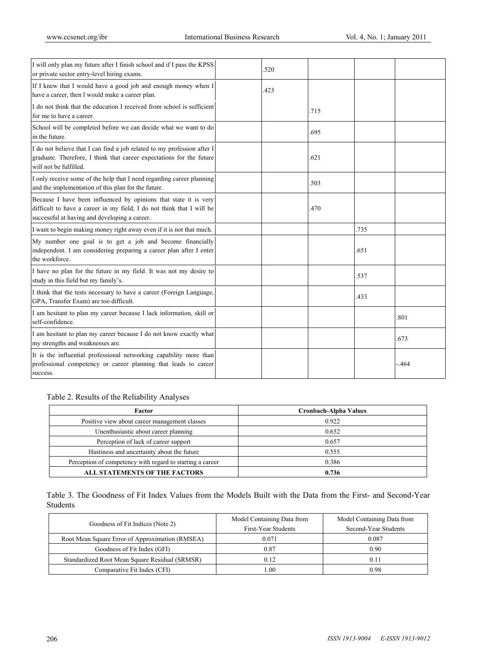| I will only plan my future after I finish school and if I pass the KPSS<br>or private sector entry-level hiring exams.                                                                     | 520  |      |      |        |
|--------------------------------------------------------------------------------------------------------------------------------------------------------------------------------------------|------|------|------|--------|
| If I knew that I would have a good job and enough money when I<br>have a career, then I would make a career plan.                                                                          | .423 |      |      |        |
| I do not think that the education I received from school is sufficient<br>for me to have a career.                                                                                         |      | .715 |      |        |
| School will be completed before we can decide what we want to do<br>in the future.                                                                                                         |      | .695 |      |        |
| I do not believe that I can find a job related to my profession after I<br>graduate. Therefore, I think that career expectations for the future<br>will not be fulfilled.                  |      | .621 |      |        |
| I only receive some of the help that I need regarding career planning<br>and the implementation of this plan for the future.                                                               |      | .503 |      |        |
| Because I have been influenced by opinions that state it is very<br>difficult to have a career in my field, I do not think that I will be<br>successful at having and developing a career. |      | .470 |      |        |
| I want to begin making money right away even if it is not that much.                                                                                                                       |      |      | .735 |        |
| My number one goal is to get a job and become financially<br>independent. I am considering preparing a career plan after I enter<br>the workforce.                                         |      |      | .651 |        |
| I have no plan for the future in my field. It was not my desire to<br>study in this field but my family's.                                                                                 |      |      | .537 |        |
| I think that the tests necessary to have a career (Foreign Language,<br>GPA, Transfer Exam) are too difficult.                                                                             |      |      | 433  |        |
| I am hesitant to plan my career because I lack information, skill or<br>self-confidence.                                                                                                   |      |      |      | .801   |
| I am hesitant to plan my career because I do not know exactly what<br>my strengths and weaknesses are.                                                                                     |      |      |      | .673   |
| It is the influential professional networking capability more than<br>professional competency or career planning that leads to career<br>success.                                          |      |      |      | $-464$ |

Table 2. Results of the Reliability Analyses

| Factor                                                    | Cronbach-Alpha Values |
|-----------------------------------------------------------|-----------------------|
| Positive view about career management classes             | 0.922                 |
| Unenthusiastic about career planning                      | 0.652                 |
| Perception of lack of career support                      | 0.657                 |
| Hastiness and uncertainty about the future                | 0.555                 |
| Perception of competency with regard to starting a career | 0.386                 |
| <b>ALL STATEMENTS OF THE FACTORS</b>                      | 0.736                 |

Table 3. The Goodness of Fit Index Values from the Models Built with the Data from the First- and Second-Year Students

|                                                 | Model Containing Data from | Model Containing Data from |  |
|-------------------------------------------------|----------------------------|----------------------------|--|
| Goodness of Fit Indices (Note 2)                | First-Year Students        | Second-Year Students       |  |
| Root Mean Square Error of Approximation (RMSEA) | 0.071                      | 0.087                      |  |
| Goodness of Fit Index (GFI)                     | 0.87                       | 0.90                       |  |
| Standardized Root Mean Square Residual (SRMSR)  | 0.12                       | 0.11                       |  |
| Comparative Fit Index (CFI)                     | 1.00                       | 0.98                       |  |